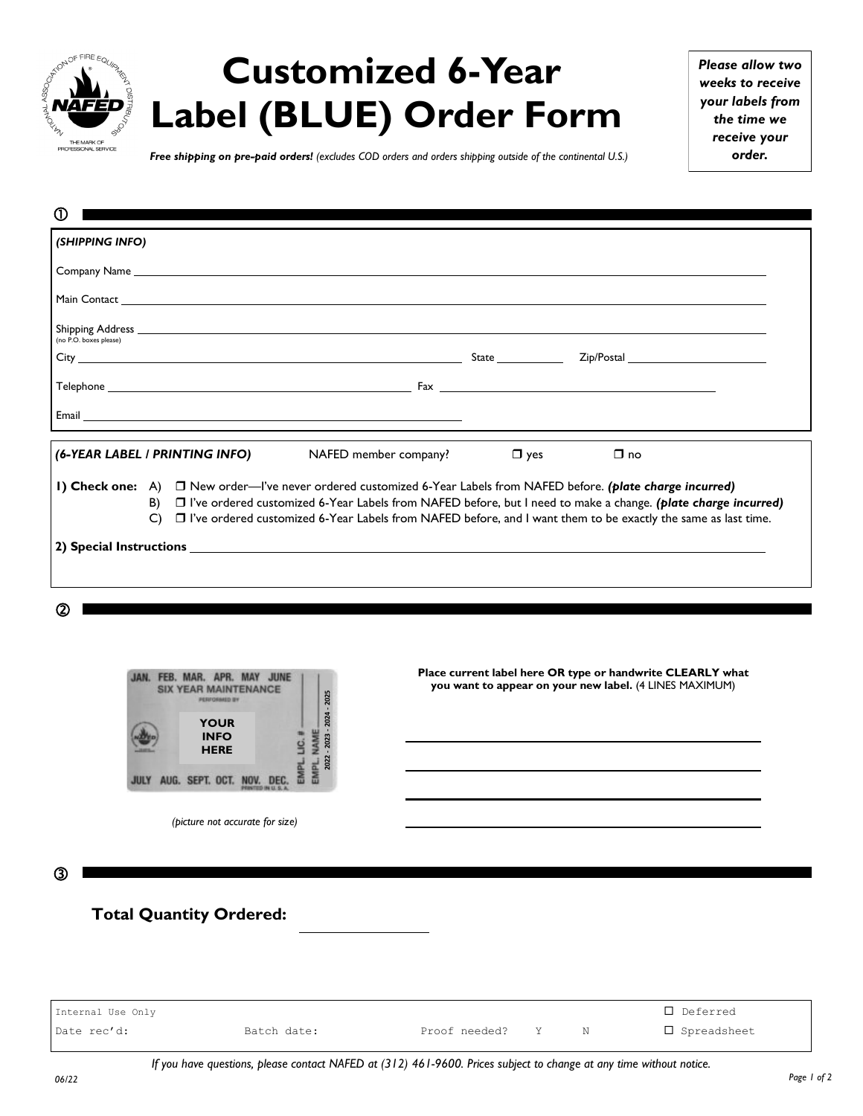

## **Customized 6-Year Label (BLUE) Order Form**

*Please allow two weeks to receive your labels from the time we receive your order.*

*Free shipping on pre-paid orders! (excludes COD orders and orders shipping outside of the continental U.S.)*

| $\Omega$               |          |                                |                                                                                                                                                                                                                                                                                                                                                           |            |           |  |
|------------------------|----------|--------------------------------|-----------------------------------------------------------------------------------------------------------------------------------------------------------------------------------------------------------------------------------------------------------------------------------------------------------------------------------------------------------|------------|-----------|--|
| (SHIPPING INFO)        |          |                                |                                                                                                                                                                                                                                                                                                                                                           |            |           |  |
|                        |          |                                |                                                                                                                                                                                                                                                                                                                                                           |            |           |  |
|                        |          |                                |                                                                                                                                                                                                                                                                                                                                                           |            |           |  |
|                        |          |                                |                                                                                                                                                                                                                                                                                                                                                           |            |           |  |
| (no P.O. boxes please) |          |                                |                                                                                                                                                                                                                                                                                                                                                           |            |           |  |
|                        |          |                                |                                                                                                                                                                                                                                                                                                                                                           |            |           |  |
|                        |          |                                | Email <u>Constitution of the Community of the Community of the Community of the Community of the Community of the Community of the Community of the Community of the Community of the Community of the Community of the Communit</u>                                                                                                                      |            |           |  |
|                        |          | (6-YEAR LABEL / PRINTING INFO) | NAFED member company?                                                                                                                                                                                                                                                                                                                                     | $\Box$ yes | $\Box$ no |  |
|                        | B)<br>C) |                                | 1) Check one: A) □ New order—I've never ordered customized 6-Year Labels from NAFED before. (plate charge incurred)<br>□ I've ordered customized 6-Year Labels from NAFED before, but I need to make a change. (plate charge incurred)<br>□ I've ordered customized 6-Year Labels from NAFED before, and I want them to be exactly the same as last time. |            |           |  |
|                        |          |                                |                                                                                                                                                                                                                                                                                                                                                           |            |           |  |
|                        |          |                                |                                                                                                                                                                                                                                                                                                                                                           |            |           |  |
|                        |          |                                |                                                                                                                                                                                                                                                                                                                                                           |            |           |  |
| (2)                    |          |                                |                                                                                                                                                                                                                                                                                                                                                           |            |           |  |



*(picture not accurate for size)*

**Place current label here OR type or handwrite CLEARLY what you want to appear on your new label.** (4 LINES MAXIMUM)

③

**Total Quantity Ordered:**

Internal Use Only Deferred Date rec'd: Batch date: Proof needed? Y N Spreadsheet **1924**<br> **1925**<br> **1929**<br> **1929**<br> **1929**<br> **1929**<br> **1920**<br> **1920**<br> **1920**<br> **1920**<br> **1920**<br> **1920**<br> **1920**<br> **1920**<br> **1920**<br> **1920**<br> **1920**<br> **1920**<br> **1920**<br> **1920**<br> **1920**<br> **1920**<br> **1920**<br> **1920**<br> **1920**<br> **1920**<br> **1920**<br> **1920**